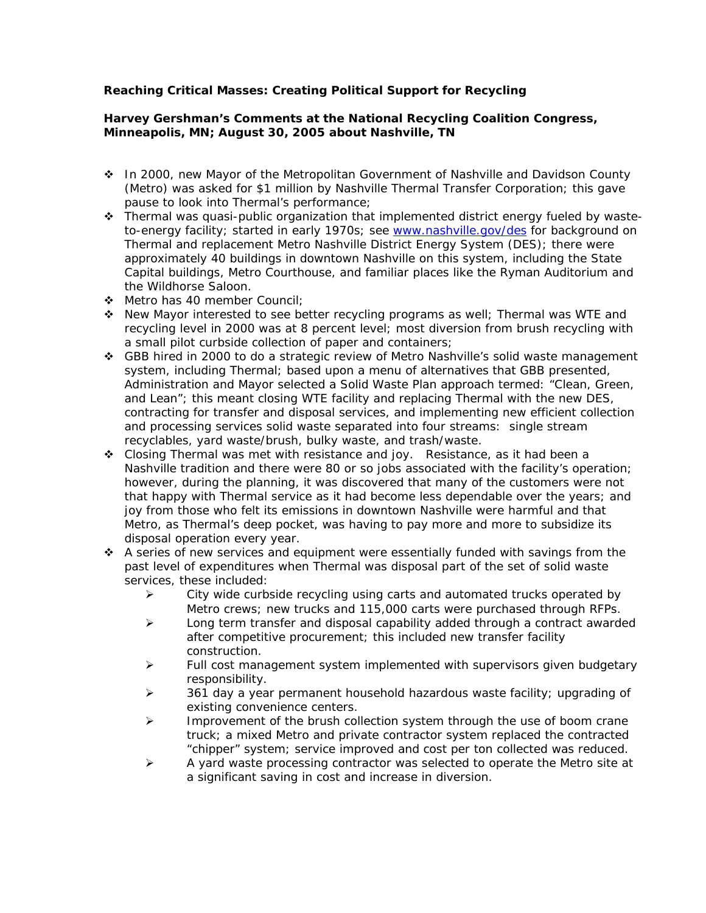## **Reaching Critical Masses: Creating Political Support for Recycling**

## **Harvey Gershman's Comments at the National Recycling Coalition Congress, Minneapolis, MN; August 30, 2005 about Nashville, TN**

- In 2000, new Mayor of the Metropolitan Government of Nashville and Davidson County (Metro) was asked for \$1 million by Nashville Thermal Transfer Corporation; this gave pause to look into Thermal's performance;
- \* Thermal was quasi-public organization that implemented district energy fueled by wasteto-energy facility; started in early 1970s; see www.nashville.gov/des for background on Thermal and replacement Metro Nashville District Energy System (DES); there were approximately 40 buildings in downtown Nashville on this system, including the State Capital buildings, Metro Courthouse, and familiar places like the Ryman Auditorium and the Wildhorse Saloon.
- Metro has 40 member Council;
- New Mayor interested to see better recycling programs as well; Thermal was WTE and recycling level in 2000 was at 8 percent level; most diversion from brush recycling with a small pilot curbside collection of paper and containers;
- GBB hired in 2000 to do a strategic review of Metro Nashville's solid waste management system, including Thermal; based upon a menu of alternatives that GBB presented, Administration and Mayor selected a Solid Waste Plan approach termed: "Clean, Green, and Lean"; this meant closing WTE facility and replacing Thermal with the new DES, contracting for transfer and disposal services, and implementing new efficient collection and processing services solid waste separated into four streams: single stream recyclables, yard waste/brush, bulky waste, and trash/waste.
- Closing Thermal was met with resistance and joy. Resistance, as it had been a Nashville tradition and there were 80 or so jobs associated with the facility's operation; however, during the planning, it was discovered that many of the customers were not that happy with Thermal service as it had become less dependable over the years; and joy from those who felt its emissions in downtown Nashville were harmful and that Metro, as Thermal's deep pocket, was having to pay more and more to subsidize its disposal operation every year.
- A series of new services and equipment were essentially funded with savings from the past level of expenditures when Thermal was disposal part of the set of solid waste services, these included:
	- $\triangleright$  City wide curbside recycling using carts and automated trucks operated by Metro crews; new trucks and 115,000 carts were purchased through RFPs.
	- $\triangleright$  Long term transfer and disposal capability added through a contract awarded after competitive procurement; this included new transfer facility construction.
	- ¾ Full cost management system implemented with supervisors given budgetary responsibility.
	- $\geq$  361 day a year permanent household hazardous waste facility; upgrading of existing convenience centers.
	- $\triangleright$  Improvement of the brush collection system through the use of boom crane truck; a mixed Metro and private contractor system replaced the contracted "chipper" system; service improved and cost per ton collected was reduced.
	- $\triangleright$  A yard waste processing contractor was selected to operate the Metro site at a significant saving in cost and increase in diversion.